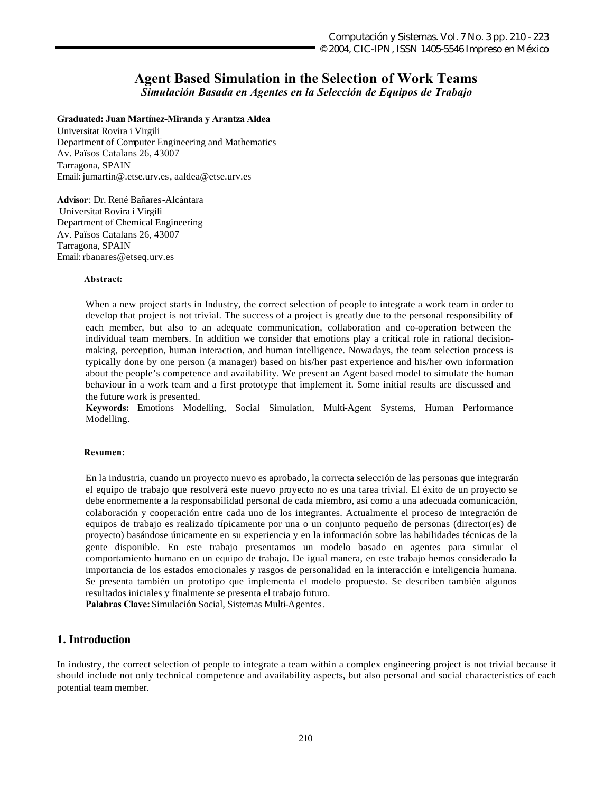# **Agent Based Simulation in the Selection of Work Teams**

*Simulación Basada en Agentes en la Selección de Equipos de Trabajo*

#### **Graduated: Juan Martínez-Miranda y Arantza Aldea**

Universitat Rovira i Virgili Department of Computer Engineering and Mathematics Av. Països Catalans 26, 43007 Tarragona, SPAIN Email: jumartin@.etse.urv.es, aaldea@etse.urv.es

**Advisor**: Dr. René Bañares-Alcántara Universitat Rovira i Virgili Department of Chemical Engineering Av. Països Catalans 26, 43007 Tarragona, SPAIN Email: rbanares@etseq.urv.es

#### **Abstract:**

When a new project starts in Industry, the correct selection of people to integrate a work team in order to develop that project is not trivial. The success of a project is greatly due to the personal responsibility of each member, but also to an adequate communication, collaboration and co-operation between the individual team members. In addition we consider that emotions play a critical role in rational decisionmaking, perception, human interaction, and human intelligence. Nowadays, the team selection process is typically done by one person (a manager) based on his/her past experience and his/her own information about the people's competence and availability. We present an Agent based model to simulate the human behaviour in a work team and a first prototype that implement it. Some initial results are discussed and the future work is presented.

**Keywords:** Emotions Modelling, Social Simulation, Multi-Agent Systems, Human Performance Modelling.

#### **Resumen:**

En la industria, cuando un proyecto nuevo es aprobado, la correcta selección de las personas que integrarán el equipo de trabajo que resolverá este nuevo proyecto no es una tarea trivial. El éxito de un proyecto se debe enormemente a la responsabilidad personal de cada miembro, así como a una adecuada comunicación, colaboración y cooperación entre cada uno de los integrantes. Actualmente el proceso de integración de equipos de trabajo es realizado típicamente por una o un conjunto pequeño de personas (director(es) de proyecto) basándose únicamente en su experiencia y en la información sobre las habilidades técnicas de la gente disponible. En este trabajo presentamos un modelo basado en agentes para simular el comportamiento humano en un equipo de trabajo. De igual manera, en este trabajo hemos considerado la importancia de los estados emocionales y rasgos de personalidad en la interacción e inteligencia humana. Se presenta también un prototipo que implementa el modelo propuesto. Se describen también algunos resultados iniciales y finalmente se presenta el trabajo futuro.

**Palabras Clave:** Simulación Social, Sistemas Multi-Agentes.

## **1. Introduction**

In industry, the correct selection of people to integrate a team within a complex engineering project is not trivial because it should include not only technical competence and availability aspects, but also personal and social characteristics of each potential team member.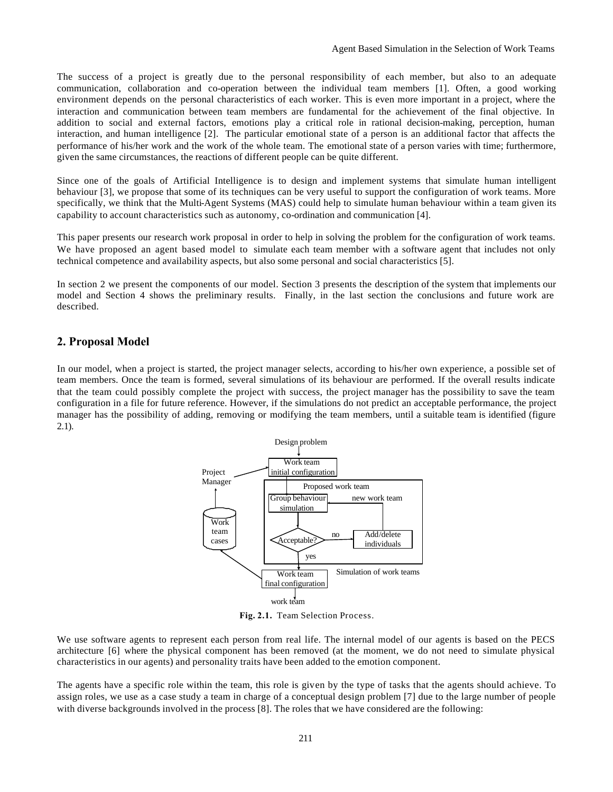The success of a project is greatly due to the personal responsibility of each member, but also to an adequate communication, collaboration and co-operation between the individual team members [1]. Often, a good working environment depends on the personal characteristics of each worker. This is even more important in a project, where the interaction and communication between team members are fundamental for the achievement of the final objective. In addition to social and external factors, emotions play a critical role in rational decision-making, perception, human interaction, and human intelligence [2]. The particular emotional state of a person is an additional factor that affects the performance of his/her work and the work of the whole team. The emotional state of a person varies with time; furthermore, given the same circumstances, the reactions of different people can be quite different.

Since one of the goals of Artificial Intelligence is to design and implement systems that simulate human intelligent behaviour [3], we propose that some of its techniques can be very useful to support the configuration of work teams. More specifically, we think that the Multi-Agent Systems (MAS) could help to simulate human behaviour within a team given its capability to account characteristics such as autonomy, co-ordination and communication [4].

This paper presents our research work proposal in order to help in solving the problem for the configuration of work teams. We have proposed an agent based model to simulate each team member with a software agent that includes not only technical competence and availability aspects, but also some personal and social characteristics [5].

In section 2 we present the components of our model. Section 3 presents the description of the system that implements our model and Section 4 shows the preliminary results. Finally, in the last section the conclusions and future work are described.

# **2. Proposal Model**

In our model, when a project is started, the project manager selects, according to his/her own experience, a possible set of team members. Once the team is formed, several simulations of its behaviour are performed. If the overall results indicate that the team could possibly complete the project with success, the project manager has the possibility to save the team configuration in a file for future reference. However, if the simulations do not predict an acceptable performance, the project manager has the possibility of adding, removing or modifying the team members, until a suitable team is identified (figure 2.1).



**Fig. 2.1.** Team Selection Process.

We use software agents to represent each person from real life. The internal model of our agents is based on the PECS architecture [6] where the physical component has been removed (at the moment, we do not need to simulate physical characteristics in our agents) and personality traits have been added to the emotion component.

The agents have a specific role within the team, this role is given by the type of tasks that the agents should achieve. To assign roles, we use as a case study a team in charge of a conceptual design problem [7] due to the large number of people with diverse backgrounds involved in the process [8]. The roles that we have considered are the following: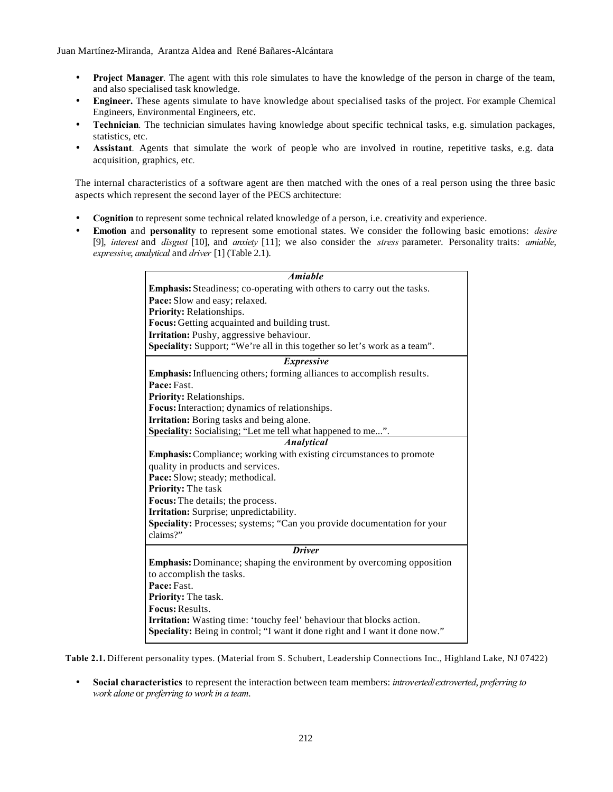- **Project Manager***.* The agent with this role simulates to have the knowledge of the person in charge of the team, and also specialised task knowledge.
- **Engineer.** These agents simulate to have knowledge about specialised tasks of the project. For example Chemical Engineers, Environmental Engineers, etc.
- **Technician***.* The technician simulates having knowledge about specific technical tasks, e.g. simulation packages, statistics, etc.
- **Assistant**. Agents that simulate the work of people who are involved in routine, repetitive tasks, e.g. data acquisition, graphics, etc*.*

The internal characteristics of a software agent are then matched with the ones of a real person using the three basic aspects which represent the second layer of the PECS architecture:

- **Cognition** to represent some technical related knowledge of a person, i.e. creativity and experience.
- **Emotion** and **personality** to represent some emotional states. We consider the following basic emotions: *desire* [9], *interest* and *disgust* [10], and *anxiety* [11]; we also consider the *stress* parameter. Personality traits: *amiable*, *expressive*, *analytical* and *driver* [1] (Table 2.1).

| <b>Amiable</b>                                                                |  |  |  |  |  |  |
|-------------------------------------------------------------------------------|--|--|--|--|--|--|
|                                                                               |  |  |  |  |  |  |
| <b>Emphasis:</b> Steadiness; co-operating with others to carry out the tasks. |  |  |  |  |  |  |
| Pace: Slow and easy; relaxed.                                                 |  |  |  |  |  |  |
| Priority: Relationships.                                                      |  |  |  |  |  |  |
| Focus: Getting acquainted and building trust.                                 |  |  |  |  |  |  |
| Irritation: Pushy, aggressive behaviour.                                      |  |  |  |  |  |  |
| Speciality: Support; "We're all in this together so let's work as a team".    |  |  |  |  |  |  |
| <i>Expressive</i>                                                             |  |  |  |  |  |  |
| <b>Emphasis:</b> Influencing others; forming alliances to accomplish results. |  |  |  |  |  |  |
| Pace: Fast.                                                                   |  |  |  |  |  |  |
| Priority: Relationships.                                                      |  |  |  |  |  |  |
| Focus: Interaction; dynamics of relationships.                                |  |  |  |  |  |  |
| <b>Irritation:</b> Boring tasks and being alone.                              |  |  |  |  |  |  |
| Speciality: Socialising; "Let me tell what happened to me".                   |  |  |  |  |  |  |
| <b>Analytical</b>                                                             |  |  |  |  |  |  |
| <b>Emphasis:</b> Compliance; working with existing circumstances to promote   |  |  |  |  |  |  |
| quality in products and services.                                             |  |  |  |  |  |  |
| Pace: Slow; steady; methodical.                                               |  |  |  |  |  |  |
| <b>Priority: The task</b>                                                     |  |  |  |  |  |  |
| Focus: The details; the process.                                              |  |  |  |  |  |  |
| Irritation: Surprise; unpredictability.                                       |  |  |  |  |  |  |
| Speciality: Processes; systems; "Can you provide documentation for your       |  |  |  |  |  |  |
| claim?                                                                        |  |  |  |  |  |  |
| <b>Driver</b>                                                                 |  |  |  |  |  |  |
| <b>Emphasis:</b> Dominance; shaping the environment by overcoming opposition  |  |  |  |  |  |  |
| to accomplish the tasks.                                                      |  |  |  |  |  |  |
| Pace: Fast.                                                                   |  |  |  |  |  |  |
| Priority: The task.                                                           |  |  |  |  |  |  |
| <b>Focus: Results.</b>                                                        |  |  |  |  |  |  |
| <b>Irritation:</b> Wasting time: 'touchy feel' behaviour that blocks action.  |  |  |  |  |  |  |
| Speciality: Being in control; "I want it done right and I want it done now."  |  |  |  |  |  |  |
|                                                                               |  |  |  |  |  |  |

**Table 2.1.** Different personality types. (Material from S. Schubert, Leadership Connections Inc., Highland Lake, NJ 07422)

• **Social characteristics** to represent the interaction between team members: *introverted*/*extroverted*, *preferring to work alone* or *preferring to work in a team*.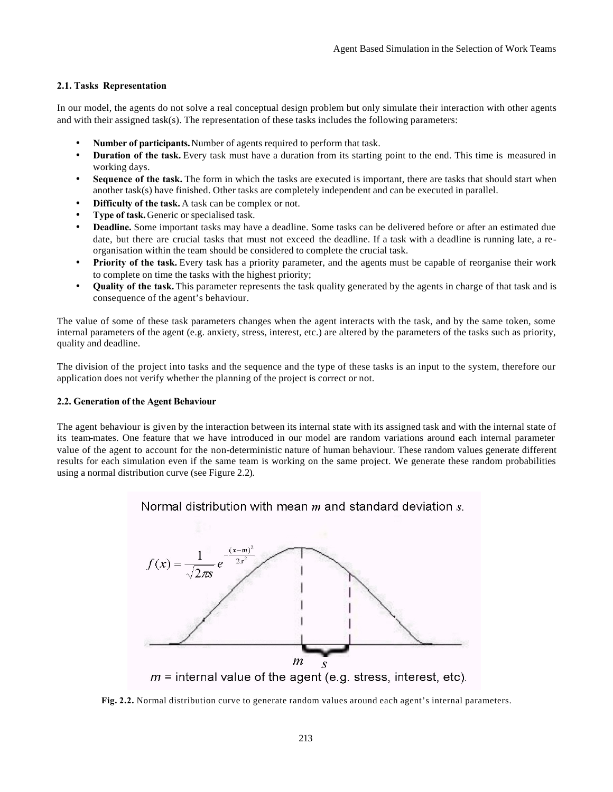## **2.1. Tasks Representation**

In our model, the agents do not solve a real conceptual design problem but only simulate their interaction with other agents and with their assigned task(s). The representation of these tasks includes the following parameters:

- **Number of participants.**Number of agents required to perform that task.
- **Duration of the task.** Every task must have a duration from its starting point to the end. This time is measured in working days.
- **Sequence of the task.** The form in which the tasks are executed is important, there are tasks that should start when another task(s) have finished. Other tasks are completely independent and can be executed in parallel.
- **Difficulty of the task.** A task can be complex or not.
- **Type of task.** Generic or specialised task.
- **Deadline.** Some important tasks may have a deadline. Some tasks can be delivered before or after an estimated due date, but there are crucial tasks that must not exceed the deadline. If a task with a deadline is running late, a reorganisation within the team should be considered to complete the crucial task.
- **Priority of the task.** Every task has a priority parameter, and the agents must be capable of reorganise their work to complete on time the tasks with the highest priority;
- **Quality of the task.** This parameter represents the task quality generated by the agents in charge of that task and is consequence of the agent's behaviour.

The value of some of these task parameters changes when the agent interacts with the task, and by the same token, some internal parameters of the agent (e.g. anxiety, stress, interest, etc.) are altered by the parameters of the tasks such as priority, quality and deadline.

The division of the project into tasks and the sequence and the type of these tasks is an input to the system, therefore our application does not verify whether the planning of the project is correct or not.

#### **2.2. Generation of the Agent Behaviour**

The agent behaviour is given by the interaction between its internal state with its assigned task and with the internal state of its team-mates. One feature that we have introduced in our model are random variations around each internal parameter value of the agent to account for the non-deterministic nature of human behaviour. These random values generate different results for each simulation even if the same team is working on the same project. We generate these random probabilities using a normal distribution curve (see Figure 2.2).

## Normal distribution with mean  $m$  and standard deviation  $s$ .



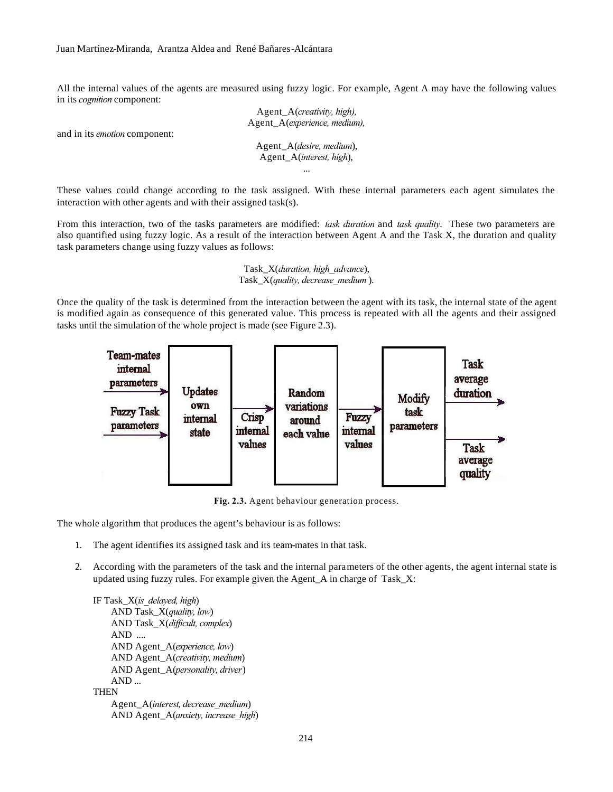All the internal values of the agents are measured using fuzzy logic. For example, Agent A may have the following values in its *cognition* component:

> Agent\_A(*creativity, high),* Agent\_A(*experience, medium),*

and in its *emotion* component:

Agent\_A(*desire, medium*), Agent\_A(*interest, high*), ...

These values could change according to the task assigned. With these internal parameters each agent simulates the interaction with other agents and with their assigned task(s).

From this interaction, two of the tasks parameters are modified: *task duration* and *task quality*. These two parameters are also quantified using fuzzy logic. As a result of the interaction between Agent A and the Task X, the duration and quality task parameters change using fuzzy values as follows:

> Task\_X(*duration, high\_advance*), Task\_X(*quality, decrease\_medium* ).

Once the quality of the task is determined from the interaction between the agent with its task, the internal state of the agent is modified again as consequence of this generated value. This process is repeated with all the agents and their assigned tasks until the simulation of the whole project is made (see Figure 2.3).



**Fig. 2.3.** Agent behaviour generation process.

The whole algorithm that produces the agent's behaviour is as follows:

- 1. The agent identifies its assigned task and its team-mates in that task.
- 2. According with the parameters of the task and the internal parameters of the other agents, the agent internal state is updated using fuzzy rules. For example given the Agent\_A in charge of Task\_X:

IF Task\_X(*is\_delayed, high*) AND Task\_X(*quality, low*) AND Task\_X(*difficult, complex*) AND .... AND Agent\_A(*experience, low*) AND Agent\_A(*creativity, medium*) AND Agent\_A(*personality, driver*) AND ... **THEN** Agent\_A(*interest, decrease\_medium*) AND Agent\_A(*anxiety, increase\_high*)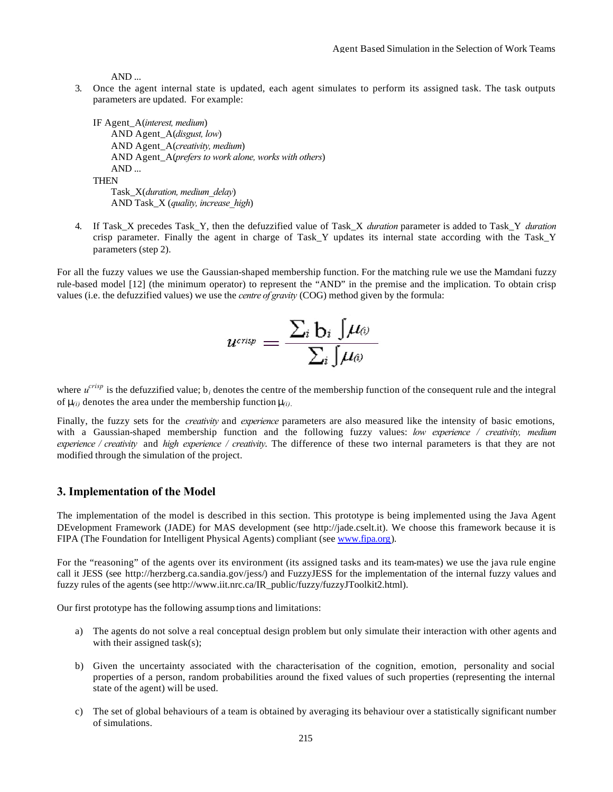AND ...

3. Once the agent internal state is updated, each agent simulates to perform its assigned task. The task outputs parameters are updated. For example:

IF Agent\_A(*interest, medium*) AND Agent\_A(*disgust, low*) AND Agent\_A(*creativity, medium*) AND Agent\_A(*prefers to work alone, works with others*) AND ... **THEN** Task\_X(*duration, medium\_delay*)

AND Task\_X (*quality, increase\_high*)

4. If Task\_X precedes Task\_Y, then the defuzzified value of Task\_X *duration* parameter is added to Task\_Y *duration* crisp parameter. Finally the agent in charge of Task\_Y updates its internal state according with the Task\_Y parameters (step 2).

For all the fuzzy values we use the Gaussian-shaped membership function. For the matching rule we use the Mamdani fuzzy rule-based model [12] (the minimum operator) to represent the "AND" in the premise and the implication. To obtain crisp values (i.e. the defuzzified values) we use the *centre of gravity* (COG) method given by the formula:

$$
u^{\text{crisp}} = \frac{\sum_i \mathbf{b}_i \int \!\! \mu_{\theta^j}}{\sum_i \int \!\! \mu_{\theta^j}}
$$

where  $u^{crisp}$  is the defuzzified value;  $b_i$  denotes the centre of the membership function of the consequent rule and the integral of  $\mu_{(i)}$  denotes the area under the membership function  $\mu_{(i)}$ .

Finally, the fuzzy sets for the *creativity* and *experience* parameters are also measured like the intensity of basic emotions, with a Gaussian-shaped membership function and the following fuzzy values: *low experience / creativity, medium experience / creativity* and *high experience / creativity*. The difference of these two internal parameters is that they are not modified through the simulation of the project.

## **3. Implementation of the Model**

The implementation of the model is described in this section. This prototype is being implemented using the Java Agent DEvelopment Framework (JADE) for MAS development (see http://jade.cselt.it). We choose this framework because it is FIPA (The Foundation for Intelligent Physical Agents) compliant (see www.fipa.org).

For the "reasoning" of the agents over its environment (its assigned tasks and its team-mates) we use the java rule engine call it JESS (see http://herzberg.ca.sandia.gov/jess/) and FuzzyJESS for the implementation of the internal fuzzy values and fuzzy rules of the agents (see http://www.iit.nrc.ca/IR\_public/fuzzy/fuzzyJToolkit2.html).

Our first prototype has the following assump tions and limitations:

- a) The agents do not solve a real conceptual design problem but only simulate their interaction with other agents and with their assigned task(s);
- b) Given the uncertainty associated with the characterisation of the cognition, emotion, personality and social properties of a person, random probabilities around the fixed values of such properties (representing the internal state of the agent) will be used.
- c) The set of global behaviours of a team is obtained by averaging its behaviour over a statistically significant number of simulations.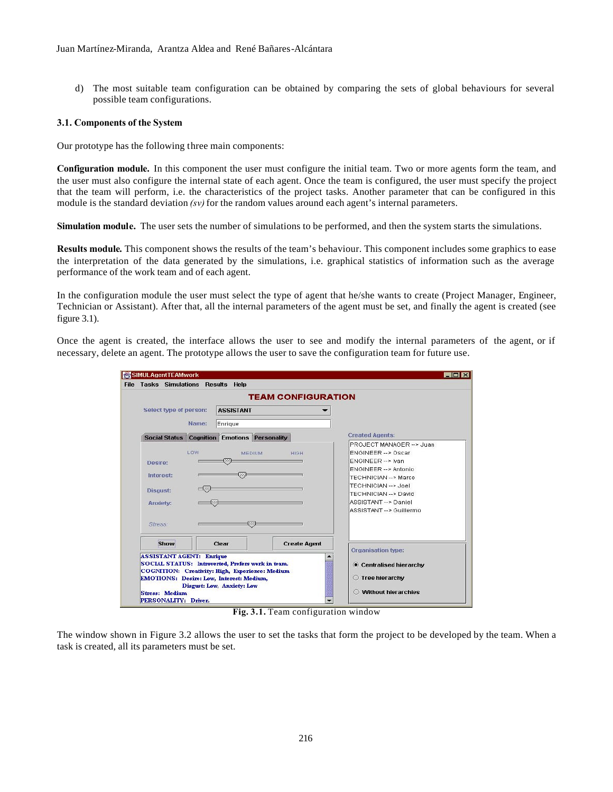d) The most suitable team configuration can be obtained by comparing the sets of global behaviours for several possible team configurations.

#### **3.1. Components of the System**

Our prototype has the following three main components:

**Configuration module.** In this component the user must configure the initial team. Two or more agents form the team, and the user must also configure the internal state of each agent. Once the team is configured, the user must specify the project that the team will perform, i.e. the characteristics of the project tasks. Another parameter that can be configured in this module is the standard deviation *(sv)* for the random values around each agent's internal parameters.

**Simulation module.** The user sets the number of simulations to be performed, and then the system starts the simulations.

**Results module***.* This component shows the results of the team's behaviour. This component includes some graphics to ease the interpretation of the data generated by the simulations, i.e. graphical statistics of information such as the average performance of the work team and of each agent.

In the configuration module the user must select the type of agent that he/she wants to create (Project Manager, Engineer, Technician or Assistant). After that, all the internal parameters of the agent must be set, and finally the agent is created (see figure 3.1).

Once the agent is created, the interface allows the user to see and modify the internal parameters of the agent, or if necessary, delete an agent. The prototype allows the user to save the configuration team for future use.

| <b>Tasks Simulations Results Help</b>                                            |                  |                                                                                                                                                                                       |                           |                                                                                                                                                                                                                                         |
|----------------------------------------------------------------------------------|------------------|---------------------------------------------------------------------------------------------------------------------------------------------------------------------------------------|---------------------------|-----------------------------------------------------------------------------------------------------------------------------------------------------------------------------------------------------------------------------------------|
|                                                                                  |                  |                                                                                                                                                                                       | <b>TEAM CONFIGURATION</b> |                                                                                                                                                                                                                                         |
| Select type of person:                                                           |                  | <b>ASSISTANT</b>                                                                                                                                                                      |                           |                                                                                                                                                                                                                                         |
|                                                                                  | Name:            | Enrique                                                                                                                                                                               |                           |                                                                                                                                                                                                                                         |
| <b>Social Status</b>                                                             | <b>Cognition</b> | <b>Emotions Personality</b>                                                                                                                                                           |                           | <b>Created Agents:</b>                                                                                                                                                                                                                  |
| Desire:<br>Interest:<br><b>Disqust:</b><br>Anxiety:                              | LOW<br>$-22$     | <b>MEDIUM</b><br><b>COL</b><br>CO.                                                                                                                                                    | <b>HIGH</b>               | PROJECT MANAGER -- > Juan<br><b>ENGINEER -- &gt; Oscar</b><br>ENGINEER -- > Ivan<br>ENGINEER -- > Antonio<br>TECHNICIAN -- > Marco<br>TECHNICIAN -- > Joel<br>TECHNICIAN -- > David<br>ASSISTANT -- > Daniel<br>ASSISTANT --> Guillermo |
| Stress:<br>Show                                                                  |                  | ØÖ.<br>Clear                                                                                                                                                                          | <b>Create Agent</b>       |                                                                                                                                                                                                                                         |
| <b>ASSISTANT AGENT: Enrique</b><br><b>Stress: Medium</b><br>PERSONALITY: Driver. |                  | SOCIAL STATUS: Introverted, Prefers work in team.<br>COGNITION: Creativity: High, Experience: Medium<br><b>EMOTIONS: Desire: Low, Interest: Medium,</b><br>Disgust: Low, Anxiety: Low |                           | Organisation type:<br>Centralised hierarchy<br><b>Tree hierarchy</b><br><b>Without hierarchies</b><br>∩                                                                                                                                 |

**Fig. 3.1.** Team configuration window

The window shown in Figure 3.2 allows the user to set the tasks that form the project to be developed by the team. When a task is created, all its parameters must be set.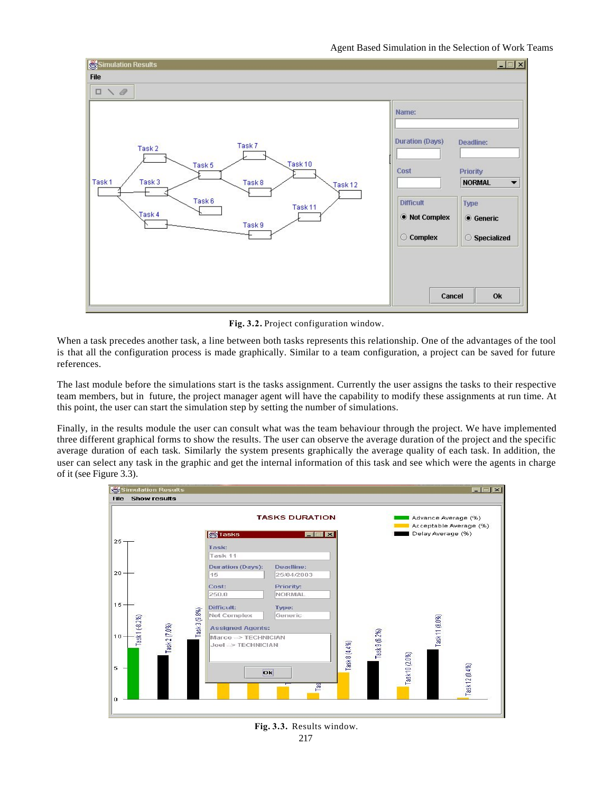

**Fig. 3.2.** Project configuration window.

When a task precedes another task, a line between both tasks represents this relationship. One of the advantages of the tool is that all the configuration process is made graphically. Similar to a team configuration, a project can be saved for future references.

The last module before the simulations start is the tasks assignment. Currently the user assigns the tasks to their respective team members, but in future, the project manager agent will have the capability to modify these assignments at run time. At this point, the user can start the simulation step by setting the number of simulations.

Finally, in the results module the user can consult what was the team behaviour through the project. We have implemented three different graphical forms to show the results. The user can observe the average duration of the project and the specific average duration of each task. Similarly the system presents graphically the average quality of each task. In addition, the user can select any task in the graphic and get the internal information of this task and see which were the agents in charge of it (see Figure 3.3).



217 **Fig. 3.3.** Results window.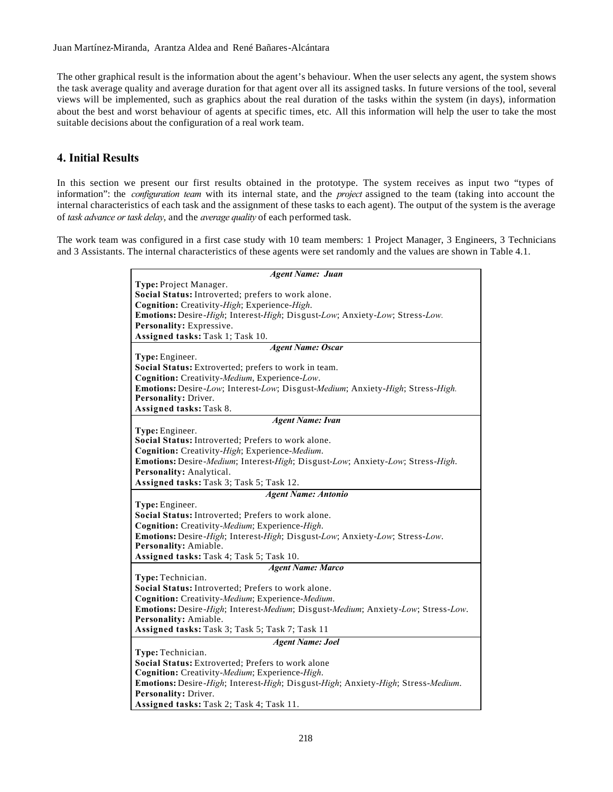The other graphical result is the information about the agent's behaviour. When the user selects any agent, the system shows the task average quality and average duration for that agent over all its assigned tasks. In future versions of the tool, several views will be implemented, such as graphics about the real duration of the tasks within the system (in days), information about the best and worst behaviour of agents at specific times, etc. All this information will help the user to take the most suitable decisions about the configuration of a real work team.

# **4. Initial Results**

In this section we present our first results obtained in the prototype. The system receives as input two "types of information": the *configuration team* with its internal state, and the *project* assigned to the team (taking into account the internal characteristics of each task and the assignment of these tasks to each agent). The output of the system is the average of *task advance or task delay*, and the *average quality* of each performed task.

The work team was configured in a first case study with 10 team members: 1 Project Manager, 3 Engineers, 3 Technicians and 3 Assistants. The internal characteristics of these agents were set randomly and the values are shown in Table 4.1.

| <b>Agent Name: Juan</b>                                                          |  |  |  |  |  |  |
|----------------------------------------------------------------------------------|--|--|--|--|--|--|
| Type: Project Manager.                                                           |  |  |  |  |  |  |
| Social Status: Introverted; prefers to work alone.                               |  |  |  |  |  |  |
| Cognition: Creativity-High; Experience-High.                                     |  |  |  |  |  |  |
| Emotions: Desire-High; Interest-High; Disgust-Low; Anxiety-Low; Stress-Low.      |  |  |  |  |  |  |
| Personality: Expressive.                                                         |  |  |  |  |  |  |
| Assigned tasks: Task 1; Task 10.                                                 |  |  |  |  |  |  |
| <b>Agent Name: Oscar</b>                                                         |  |  |  |  |  |  |
| Type: Engineer.                                                                  |  |  |  |  |  |  |
| Social Status: Extroverted; prefers to work in team.                             |  |  |  |  |  |  |
| Cognition: Creativity-Medium, Experience-Low.                                    |  |  |  |  |  |  |
| Emotions: Desire-Low; Interest-Low; Disgust-Medium; Anxiety-High; Stress-High.   |  |  |  |  |  |  |
| Personality: Driver.                                                             |  |  |  |  |  |  |
| Assigned tasks: Task 8.                                                          |  |  |  |  |  |  |
| <b>Agent Name: Ivan</b>                                                          |  |  |  |  |  |  |
| Type: Engineer.                                                                  |  |  |  |  |  |  |
| Social Status: Introverted; Prefers to work alone.                               |  |  |  |  |  |  |
| Cognition: Creativity-High; Experience-Medium.                                   |  |  |  |  |  |  |
| Emotions: Desire-Medium; Interest-High; Disgust-Low; Anxiety-Low; Stress-High.   |  |  |  |  |  |  |
| Personality: Analytical.                                                         |  |  |  |  |  |  |
| Assigned tasks: Task 3; Task 5; Task 12.                                         |  |  |  |  |  |  |
| <b>Agent Name: Antonio</b>                                                       |  |  |  |  |  |  |
| Type: Engineer.                                                                  |  |  |  |  |  |  |
|                                                                                  |  |  |  |  |  |  |
| Social Status: Introverted; Prefers to work alone.                               |  |  |  |  |  |  |
| Cognition: Creativity-Medium; Experience-High.                                   |  |  |  |  |  |  |
| Emotions: Desire-High; Interest-High; Disgust-Low; Anxiety-Low; Stress-Low.      |  |  |  |  |  |  |
| Personality: Amiable.                                                            |  |  |  |  |  |  |
| Assigned tasks: Task 4; Task 5; Task 10.                                         |  |  |  |  |  |  |
| <b>Agent Name: Marco</b>                                                         |  |  |  |  |  |  |
| Type: Technician.                                                                |  |  |  |  |  |  |
| Social Status: Introverted; Prefers to work alone.                               |  |  |  |  |  |  |
| Cognition: Creativity-Medium; Experience-Medium.                                 |  |  |  |  |  |  |
| Emotions: Desire-High; Interest-Medium; Disgust-Medium; Anxiety-Low; Stress-Low. |  |  |  |  |  |  |
| Personality: Amiable.                                                            |  |  |  |  |  |  |
| Assigned tasks: Task 3; Task 5; Task 7; Task 11                                  |  |  |  |  |  |  |
| <b>Agent Name: Joel</b>                                                          |  |  |  |  |  |  |
| Type: Technician.                                                                |  |  |  |  |  |  |
| Social Status: Extroverted; Prefers to work alone                                |  |  |  |  |  |  |
| Cognition: Creativity-Medium; Experience-High.                                   |  |  |  |  |  |  |
| Emotions: Desire-High; Interest-High; Disgust-High; Anxiety-High; Stress-Medium. |  |  |  |  |  |  |
| Personality: Driver.<br>Assigned tasks: Task 2; Task 4; Task 11.                 |  |  |  |  |  |  |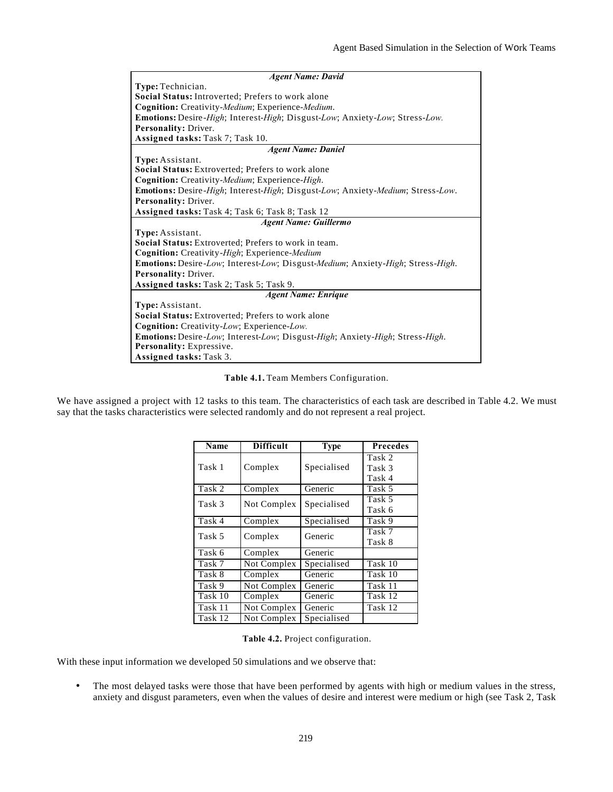| <b>Agent Name: David</b>                                                            |  |  |  |  |  |  |
|-------------------------------------------------------------------------------------|--|--|--|--|--|--|
| Type: Technician.                                                                   |  |  |  |  |  |  |
| <b>Social Status:</b> Introverted: Prefers to work alone                            |  |  |  |  |  |  |
| Cognition: Creativity-Medium; Experience-Medium.                                    |  |  |  |  |  |  |
| Emotions: Desire-High; Interest-High; Disgust-Low; Anxiety-Low; Stress-Low.         |  |  |  |  |  |  |
| Personality: Driver.                                                                |  |  |  |  |  |  |
| Assigned tasks: Task 7; Task 10.                                                    |  |  |  |  |  |  |
| <b>Agent Name: Daniel</b>                                                           |  |  |  |  |  |  |
| Type: Assistant.                                                                    |  |  |  |  |  |  |
| Social Status: Extroverted; Prefers to work alone                                   |  |  |  |  |  |  |
| Cognition: Creativity-Medium; Experience-High.                                      |  |  |  |  |  |  |
| Emotions: Desire-High; Interest-High; Disgust-Low; Anxiety-Medium; Stress-Low.      |  |  |  |  |  |  |
| Personality: Driver.                                                                |  |  |  |  |  |  |
| Assigned tasks: Task 4; Task 6; Task 8; Task 12                                     |  |  |  |  |  |  |
| <b>Agent Name: Guillermo</b>                                                        |  |  |  |  |  |  |
| Type: Assistant.                                                                    |  |  |  |  |  |  |
| <b>Social Status:</b> Extroverted: Prefers to work in team.                         |  |  |  |  |  |  |
| <b>Cognition:</b> Creativity-High; Experience-Medium                                |  |  |  |  |  |  |
| Emotions: Desire-Low; Interest-Low; Disgust-Medium; Anxiety-High; Stress-High.      |  |  |  |  |  |  |
| Personality: Driver.                                                                |  |  |  |  |  |  |
| Assigned tasks: Task 2; Task 5; Task 9.                                             |  |  |  |  |  |  |
| <b>Agent Name: Enrique</b>                                                          |  |  |  |  |  |  |
| Type: Assistant.                                                                    |  |  |  |  |  |  |
| <b>Social Status:</b> Extroverted: Prefers to work alone                            |  |  |  |  |  |  |
| <b>Cognition:</b> Creativity-Low; Experience-Low.                                   |  |  |  |  |  |  |
| <b>Emotions:</b> Desire-Low; Interest-Low; Disgust-High; Anxiety-High; Stress-High. |  |  |  |  |  |  |
| Personality: Expressive.                                                            |  |  |  |  |  |  |
| Assigned tasks: Task 3.                                                             |  |  |  |  |  |  |

**Table 4.1.** Team Members Configuration.

We have assigned a project with 12 tasks to this team. The characteristics of each task are described in Table 4.2. We must say that the tasks characteristics were selected randomly and do not represent a real project.

| Name    | <b>Difficult</b> | <b>Type</b> | <b>Precedes</b>            |
|---------|------------------|-------------|----------------------------|
| Task 1  | Complex          | Specialised | Task 2<br>Task 3<br>Task 4 |
| Task 2  | Complex          | Generic     | Task 5                     |
| Task 3  | Not Complex      | Specialised | Task 5<br>Task 6           |
| Task 4  | Complex          | Specialised | Task 9                     |
| Task 5  | Complex          | Generic     | Task 7<br>Task 8           |
| Task 6  | Complex          | Generic     |                            |
| Task 7  | Not Complex      | Specialised | Task 10                    |
| Task 8  | Complex          | Generic     | Task 10                    |
| Task 9  | Not Complex      | Generic     | Task 11                    |
| Task 10 | Complex          | Generic     | Task 12                    |
| Task 11 | Not Complex      | Generic     | Task 12                    |
| Task 12 | Not Complex      | Specialised |                            |

**Table 4.2.** Project configuration.

With these input information we developed 50 simulations and we observe that:

• The most delayed tasks were those that have been performed by agents with high or medium values in the stress, anxiety and disgust parameters, even when the values of desire and interest were medium or high (see Task 2, Task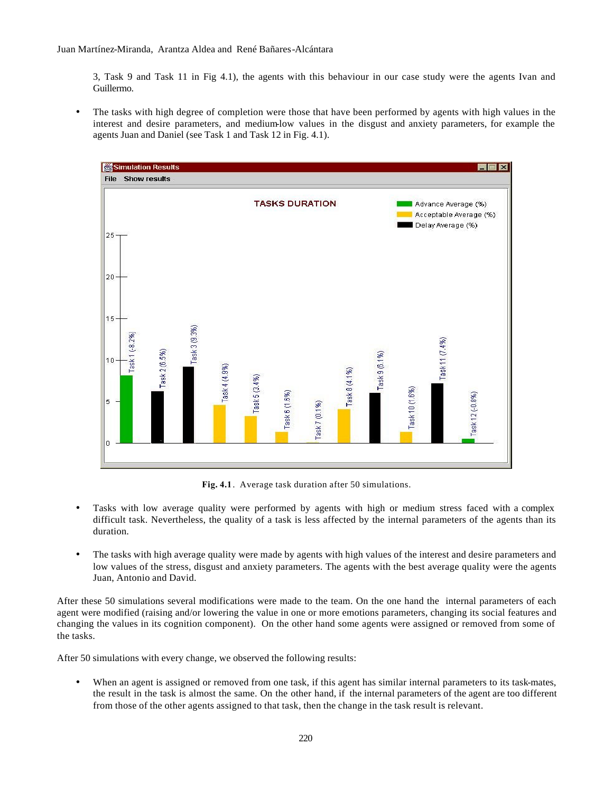3, Task 9 and Task 11 in Fig 4.1), the agents with this behaviour in our case study were the agents Ivan and Guillermo.

• The tasks with high degree of completion were those that have been performed by agents with high values in the interest and desire parameters, and medium-low values in the disgust and anxiety parameters, for example the agents Juan and Daniel (see Task 1 and Task 12 in Fig. 4.1).



**Fig. 4.1**. Average task duration after 50 simulations.

- Tasks with low average quality were performed by agents with high or medium stress faced with a complex difficult task. Nevertheless, the quality of a task is less affected by the internal parameters of the agents than its duration.
- The tasks with high average quality were made by agents with high values of the interest and desire parameters and low values of the stress, disgust and anxiety parameters. The agents with the best average quality were the agents Juan, Antonio and David.

After these 50 simulations several modifications were made to the team. On the one hand the internal parameters of each agent were modified (raising and/or lowering the value in one or more emotions parameters, changing its social features and changing the values in its cognition component). On the other hand some agents were assigned or removed from some of the tasks.

After 50 simulations with every change, we observed the following results:

• When an agent is assigned or removed from one task, if this agent has similar internal parameters to its task-mates, the result in the task is almost the same. On the other hand, if the internal parameters of the agent are too different from those of the other agents assigned to that task, then the change in the task result is relevant.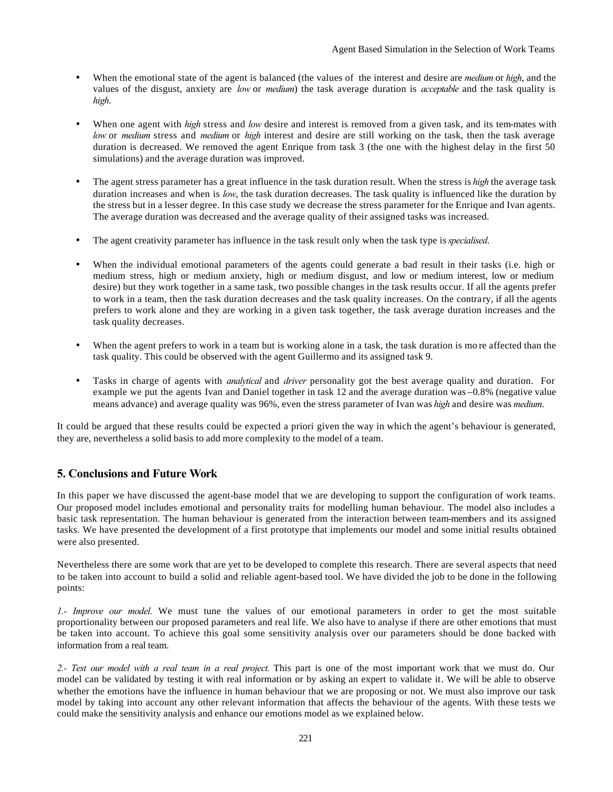- When the emotional state of the agent is balanced (the values of the interest and desire are *medium* or *high*, and the values of the disgust, anxiety are *low* or *medium*) the task average duration is *acceptable* and the task quality is *high*.
- When one agent with *high* stress and *low* desire and interest is removed from a given task, and its tem-mates with *low* or *medium* stress and *medium* or *high* interest and desire are still working on the task, then the task average duration is decreased. We removed the agent Enrique from task 3 (the one with the highest delay in the first 50 simulations) and the average duration was improved.
- The agent stress parameter has a great influence in the task duration result. When the stress is *high* the average task duration increases and when is *low*, the task duration decreases. The task quality is influenced like the duration by the stress but in a lesser degree. In this case study we decrease the stress parameter for the Enrique and Ivan agents. The average duration was decreased and the average quality of their assigned tasks was increased.
- The agent creativity parameter has influence in the task result only when the task type is *specialised*.
- When the individual emotional parameters of the agents could generate a bad result in their tasks (i.e. high or medium stress, high or medium anxiety, high or medium disgust, and low or medium interest, low or medium desire) but they work together in a same task, two possible changes in the task results occur. If all the agents prefer to work in a team, then the task duration decreases and the task quality increases. On the contrary, if all the agents prefers to work alone and they are working in a given task together, the task average duration increases and the task quality decreases.
- When the agent prefers to work in a team but is working alone in a task, the task duration is mo re affected than the task quality. This could be observed with the agent Guillermo and its assigned task 9.
- Tasks in charge of agents with *analytical* and *driver* personality got the best average quality and duration. For example we put the agents Ivan and Daniel together in task 12 and the average duration was –0.8% (negative value means advance) and average quality was 96%, even the stress parameter of Ivan was *high* and desire was *medium*.

It could be argued that these results could be expected a priori given the way in which the agent's behaviour is generated, they are, nevertheless a solid basis to add more complexity to the model of a team.

# **5. Conclusions and Future Work**

In this paper we have discussed the agent-base model that we are developing to support the configuration of work teams. Our proposed model includes emotional and personality traits for modelling human behaviour. The model also includes a basic task representation. The human behaviour is generated from the interaction between team-members and its assigned tasks. We have presented the development of a first prototype that implements our model and some initial results obtained were also presented.

Nevertheless there are some work that are yet to be developed to complete this research. There are several aspects that need to be taken into account to build a solid and reliable agent-based tool. We have divided the job to be done in the following points:

*1.- Improve our model.* We must tune the values of our emotional parameters in order to get the most suitable proportionality between our proposed parameters and real life. We also have to analyse if there are other emotions that must be taken into account. To achieve this goal some sensitivity analysis over our parameters should be done backed with information from a real team.

*2.- Test our model with a real team in a real project.* This part is one of the most important work that we must do. Our model can be validated by testing it with real information or by asking an expert to validate it. We will be able to observe whether the emotions have the influence in human behaviour that we are proposing or not. We must also improve our task model by taking into account any other relevant information that affects the behaviour of the agents. With these tests we could make the sensitivity analysis and enhance our emotions model as we explained below.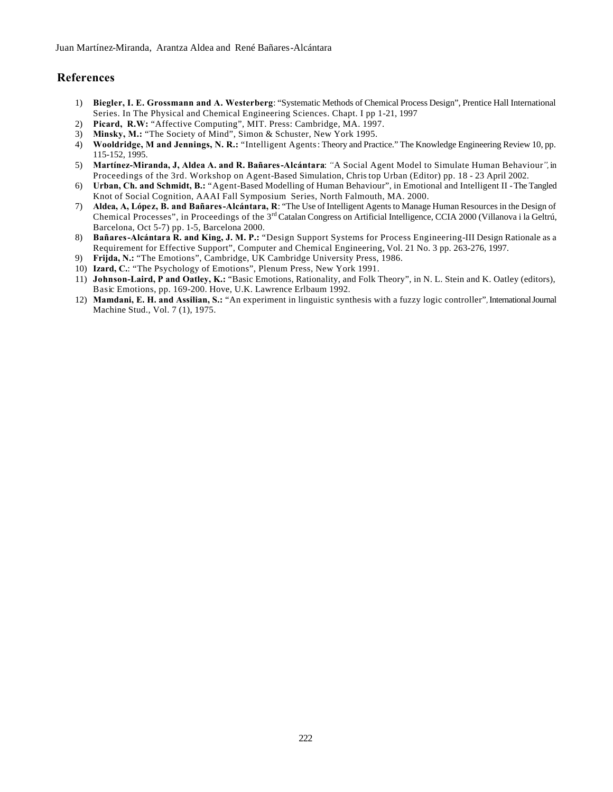# **References**

- 1) **Biegler, I. E. Grossmann and A. Westerberg**: "Systematic Methods of Chemical Process Design", Prentice Hall International Series. In The Physical and Chemical Engineering Sciences. Chapt. I pp 1-21, 1997
- 2) **Picard, R.W:** "Affective Computing", MIT. Press: Cambridge, MA. 1997.
- 3) **Minsky, M.:** "The Society of Mind", Simon & Schuster, New York 1995.
- 4) **Wooldridge, M and Jennings, N. R.:** "Intelligent Agents: Theory and Practice." The Knowledge Engineering Review 10, pp. 115-152, 1995.
- 5) **Martínez-Miranda, J, Aldea A. and R. Bañares-Alcántara**: *"*A Social Agent Model to Simulate Human Behaviour*",* in Proceedings of the 3rd. Workshop on Agent-Based Simulation, Christop Urban (Editor) pp. 18 - 23 April 2002.
- 6) **Urban, Ch. and Schmidt, B.:** "Agent-Based Modelling of Human Behaviour", in Emotional and Intelligent II The Tangled Knot of Social Cognition, AAAI Fall Symposium Series, North Falmouth, MA. 2000.
- 7) **Aldea, A, López, B. and Bañares-Alcántara, R**: "The Use of Intelligent Agents to Manage Human Resources in the Design of Chemical Processes", in Proceedings of the 3<sup>rd</sup> Catalan Congress on Artificial Intelligence, CCIA 2000 (Villanova i la Geltrú, Barcelona, Oct 5-7) pp. 1-5, Barcelona 2000.
- 8) **Bañares-Alcántara R. and King, J. M. P.:** "Design Support Systems for Process Engineering-III Design Rationale as a Requirement for Effective Support", Computer and Chemical Engineering, Vol. 21 No. 3 pp. 263-276, 1997.
- 9) **Frijda, N.:** "The Emotions", Cambridge, UK Cambridge University Press, 1986.
- 10) **Izard, C.**: "The Psychology of Emotions", Plenum Press, New York 1991.
- 11) **Johnson-Laird, P and Oatley, K.:** "Basic Emotions, Rationality, and Folk Theory", in N. L. Stein and K. Oatley (editors), Basic Emotions, pp. 169-200. Hove, U.K. Lawrence Erlbaum 1992.
- 12) **Mamdani, E. H. and Assilian, S.:** "An experiment in linguistic synthesis with a fuzzy logic controller"*,* International Journal Machine Stud., Vol. 7 (1), 1975.